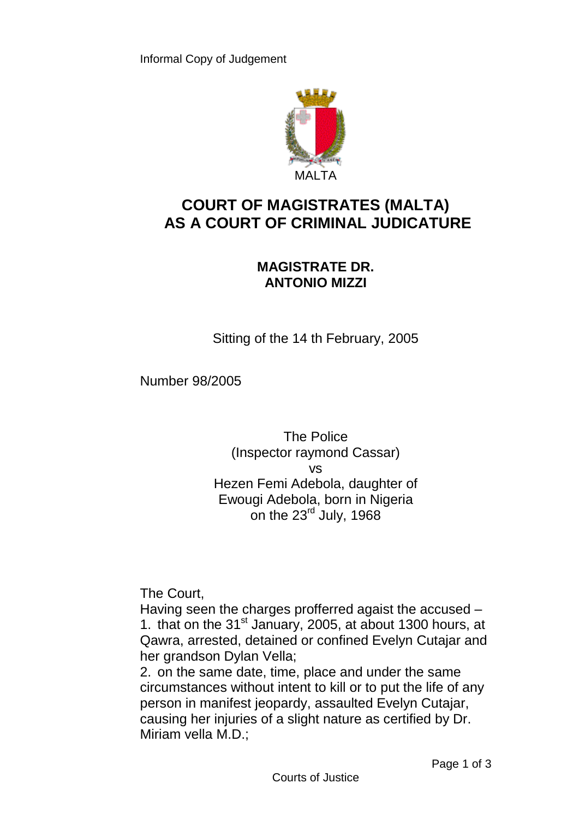

## **COURT OF MAGISTRATES (MALTA) AS A COURT OF CRIMINAL JUDICATURE**

## **MAGISTRATE DR. ANTONIO MIZZI**

Sitting of the 14 th February, 2005

Number 98/2005

The Police (Inspector raymond Cassar) vs Hezen Femi Adebola, daughter of Ewougi Adebola, born in Nigeria on the 23<sup>rd</sup> July, 1968

The Court,

Having seen the charges profferred agaist the accused – 1. that on the  $31<sup>st</sup>$  January, 2005, at about 1300 hours, at Qawra, arrested, detained or confined Evelyn Cutajar and her grandson Dylan Vella;

2. on the same date, time, place and under the same circumstances without intent to kill or to put the life of any person in manifest jeopardy, assaulted Evelyn Cutajar, causing her injuries of a slight nature as certified by Dr. Miriam vella M.D.;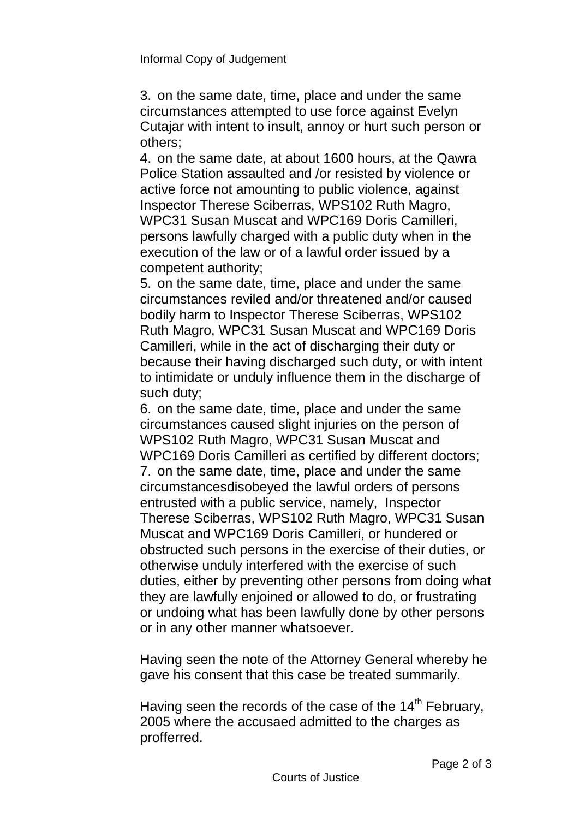3. on the same date, time, place and under the same circumstances attempted to use force against Evelyn Cutajar with intent to insult, annoy or hurt such person or others;

4. on the same date, at about 1600 hours, at the Qawra Police Station assaulted and /or resisted by violence or active force not amounting to public violence, against Inspector Therese Sciberras, WPS102 Ruth Magro, WPC31 Susan Muscat and WPC169 Doris Camilleri, persons lawfully charged with a public duty when in the execution of the law or of a lawful order issued by a competent authority;

5. on the same date, time, place and under the same circumstances reviled and/or threatened and/or caused bodily harm to Inspector Therese Sciberras, WPS102 Ruth Magro, WPC31 Susan Muscat and WPC169 Doris Camilleri, while in the act of discharging their duty or because their having discharged such duty, or with intent to intimidate or unduly influence them in the discharge of such duty;

6. on the same date, time, place and under the same circumstances caused slight injuries on the person of WPS102 Ruth Magro, WPC31 Susan Muscat and WPC169 Doris Camilleri as certified by different doctors; 7. on the same date, time, place and under the same circumstancesdisobeyed the lawful orders of persons entrusted with a public service, namely, Inspector Therese Sciberras, WPS102 Ruth Magro, WPC31 Susan Muscat and WPC169 Doris Camilleri, or hundered or obstructed such persons in the exercise of their duties, or otherwise unduly interfered with the exercise of such duties, either by preventing other persons from doing what they are lawfully enjoined or allowed to do, or frustrating or undoing what has been lawfully done by other persons or in any other manner whatsoever.

Having seen the note of the Attorney General whereby he gave his consent that this case be treated summarily.

Having seen the records of the case of the 14<sup>th</sup> February, 2005 where the accusaed admitted to the charges as profferred.